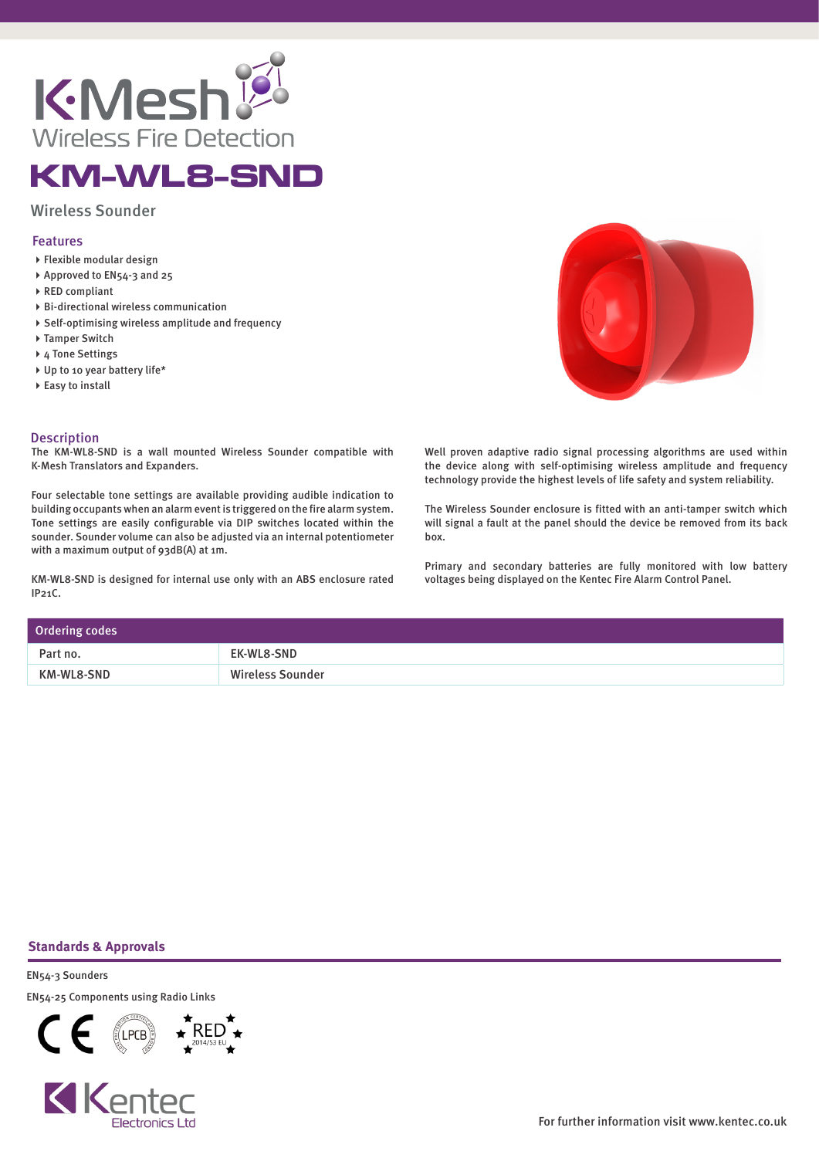

## KM-WL8-SND

Wireless Sounder

## Features

- Flexible modular design
- Approved to EN54-3 and 25
- RED compliant
- Bi-directional wireless communication
- Self-optimising wireless amplitude and frequency
- ▶ Tamper Switch
- ▶ 4 Tone Settings
- ▶ Up to 10 year battery life\*
- ▶ Easy to install

## **Description**

The KM-WL8-SND is a wall mounted Wireless Sounder compatible with K-Mesh Translators and Expanders.

Four selectable tone settings are available providing audible indication to building occupants when an alarm event is triggered on the fire alarm system. Tone settings are easily configurable via DIP switches located within the sounder. Sounder volume can also be adjusted via an internal potentiometer with a maximum output of 93dB(A) at 1m.

KM-WL8-SND is designed for internal use only with an ABS enclosure rated IP21C.

Well proven adaptive radio signal processing algorithms are used within the device along with self-optimising wireless amplitude and frequency technology provide the highest levels of life safety and system reliability.

The Wireless Sounder enclosure is fitted with an anti-tamper switch which will signal a fault at the panel should the device be removed from its back box.

Primary and secondary batteries are fully monitored with low battery voltages being displayed on the Kentec Fire Alarm Control Panel.

| Ordering codes |                         |
|----------------|-------------------------|
| Part no.       | EK-WL8-SND              |
| KM-WL8-SND     | <b>Wireless Sounder</b> |

## **Standards & Approvals**

EN54-3 Sounders EN54-25 Components using Radio Links